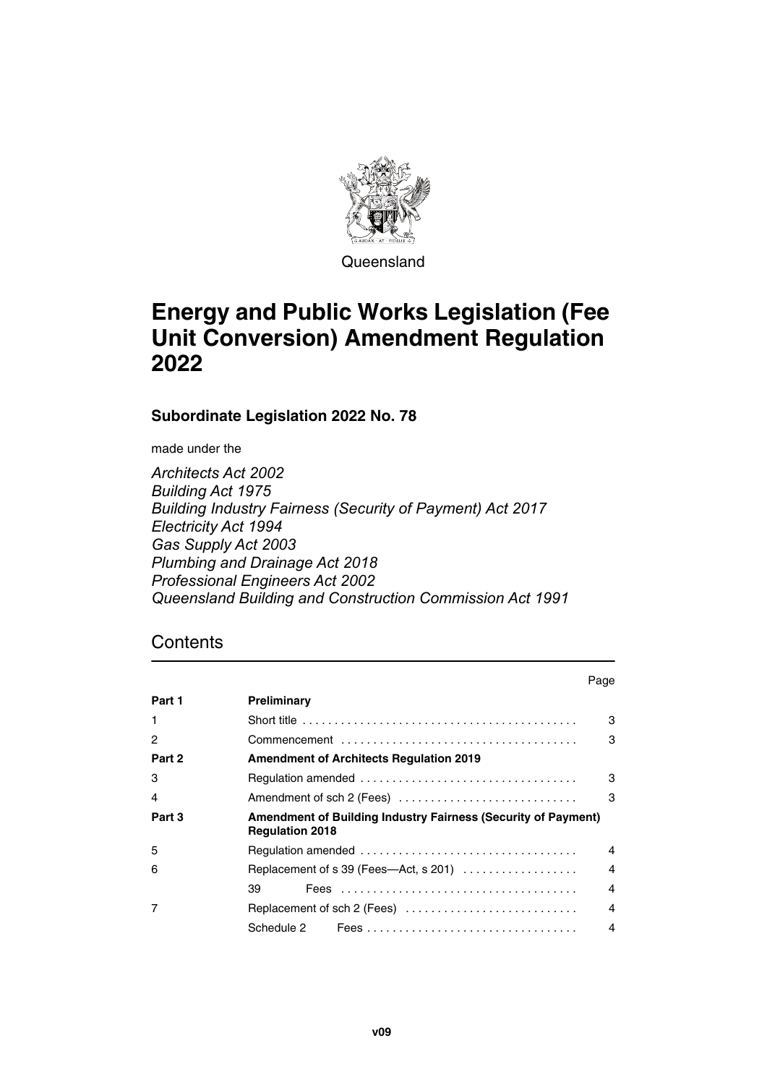

Queensland

# **Energy and Public Works Legislation (Fee Unit Conversion) Amendment Regulation 2022**

**Subordinate Legislation 2022 No. 78**

made under the

*Architects Act 2002 Building Act 1975 Building Industry Fairness (Security of Payment) Act 2017 Electricity Act 1994 Gas Supply Act 2003 Plumbing and Drainage Act 2018 Professional Engineers Act 2002 Queensland Building and Construction Commission Act 1991*

## **Contents**

|        |                                                                                                | Page |
|--------|------------------------------------------------------------------------------------------------|------|
| Part 1 | Preliminary                                                                                    |      |
|        |                                                                                                | 3    |
| 2      |                                                                                                | 3    |
| Part 2 | <b>Amendment of Architects Regulation 2019</b>                                                 |      |
| 3      |                                                                                                | 3    |
| 4      | Amendment of sch 2 (Fees)                                                                      | 3    |
| Part 3 | <b>Amendment of Building Industry Fairness (Security of Payment)</b><br><b>Regulation 2018</b> |      |
| 5      |                                                                                                | 4    |
| 6      | Replacement of s 39 (Fees—Act, s 201) $\ldots$                                                 | 4    |
|        | 39                                                                                             | 4    |
|        | Replacement of sch 2 (Fees) $\ldots \ldots \ldots \ldots \ldots \ldots \ldots \ldots$          | 4    |
|        | Schedule 2                                                                                     | 4    |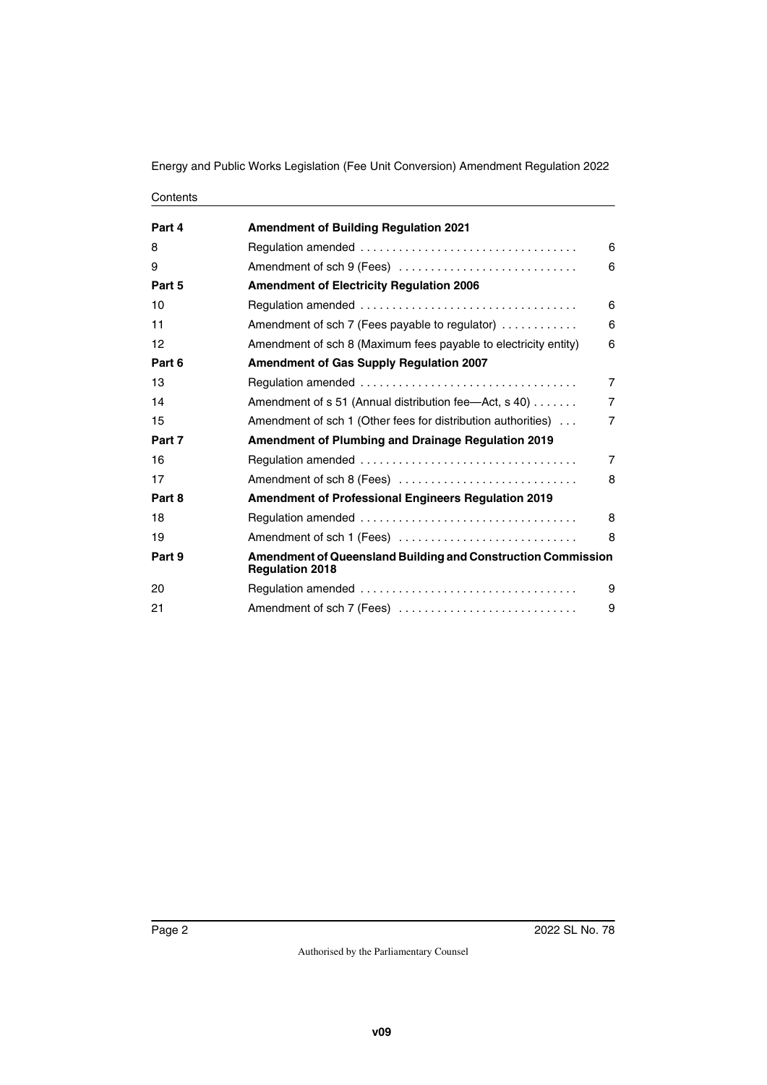Energy and Public Works Legislation (Fee Unit Conversion) Amendment Regulation 2022

| Contents |
|----------|
|----------|

| Part 4 | <b>Amendment of Building Regulation 2021</b>                                           |                |
|--------|----------------------------------------------------------------------------------------|----------------|
| 8      |                                                                                        | 6              |
| 9      | Amendment of sch 9 (Fees)                                                              | 6              |
| Part 5 | <b>Amendment of Electricity Regulation 2006</b>                                        |                |
| 10     |                                                                                        | 6              |
| 11     | Amendment of sch 7 (Fees payable to regulator)                                         | 6              |
| 12     | Amendment of sch 8 (Maximum fees payable to electricity entity)                        | 6              |
| Part 6 | <b>Amendment of Gas Supply Regulation 2007</b>                                         |                |
| 13     |                                                                                        | $\overline{7}$ |
| 14     | Amendment of s 51 (Annual distribution fee-Act, s 40)                                  | $\overline{7}$ |
| 15     | Amendment of sch 1 (Other fees for distribution authorities)                           | $\overline{7}$ |
| Part 7 | <b>Amendment of Plumbing and Drainage Regulation 2019</b>                              |                |
| 16     |                                                                                        | $\overline{7}$ |
| 17     | Amendment of sch 8 (Fees)                                                              | 8              |
| Part 8 | <b>Amendment of Professional Engineers Regulation 2019</b>                             |                |
| 18     | 8                                                                                      |                |
| 19     | Amendment of sch 1 (Fees)                                                              | 8              |
| Part 9 | Amendment of Queensland Building and Construction Commission<br><b>Regulation 2018</b> |                |
| 20     |                                                                                        | 9              |
| 21     | Amendment of sch 7 (Fees)<br>9                                                         |                |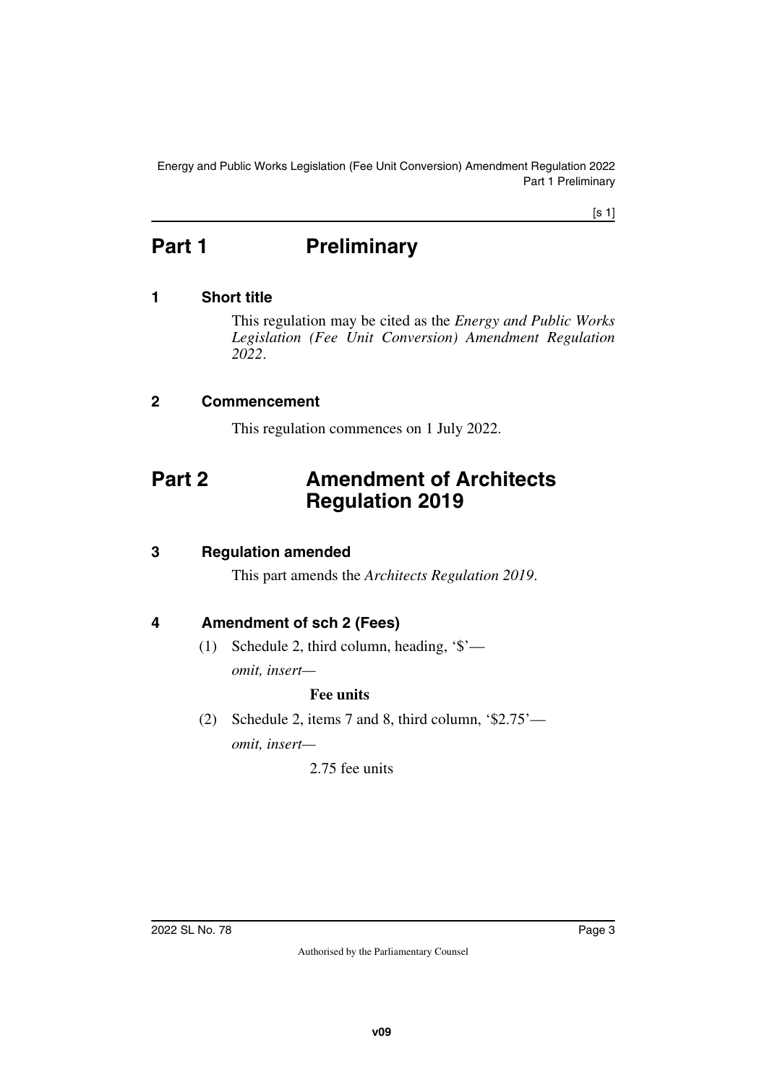Energy and Public Works Legislation (Fee Unit Conversion) Amendment Regulation 2022 Part 1 Preliminary

[s 1]

# <span id="page-2-0"></span>**Part 1** Preliminary

### <span id="page-2-2"></span>**1 Short title**

<span id="page-2-3"></span><span id="page-2-1"></span>This regulation may be cited as the *Energy and Public Works Legislation (Fee Unit Conversion) Amendment Regulation 2022*.

### <span id="page-2-4"></span>**2 Commencement**

<span id="page-2-7"></span><span id="page-2-5"></span>This regulation commences on 1 July 2022.

## <span id="page-2-6"></span>**Part 2 Amendment of Architects Regulation 2019**

### <span id="page-2-8"></span>**3 Regulation amended**

<span id="page-2-9"></span>This part amends the *Architects Regulation 2019*.

### <span id="page-2-10"></span>**4 Amendment of sch 2 (Fees)**

<span id="page-2-11"></span>(1) Schedule 2, third column, heading, '\$' *omit, insert—*

#### **Fee units**

(2) Schedule 2, items 7 and 8, third column, '\$2.75' *omit, insert—*

2.75 fee units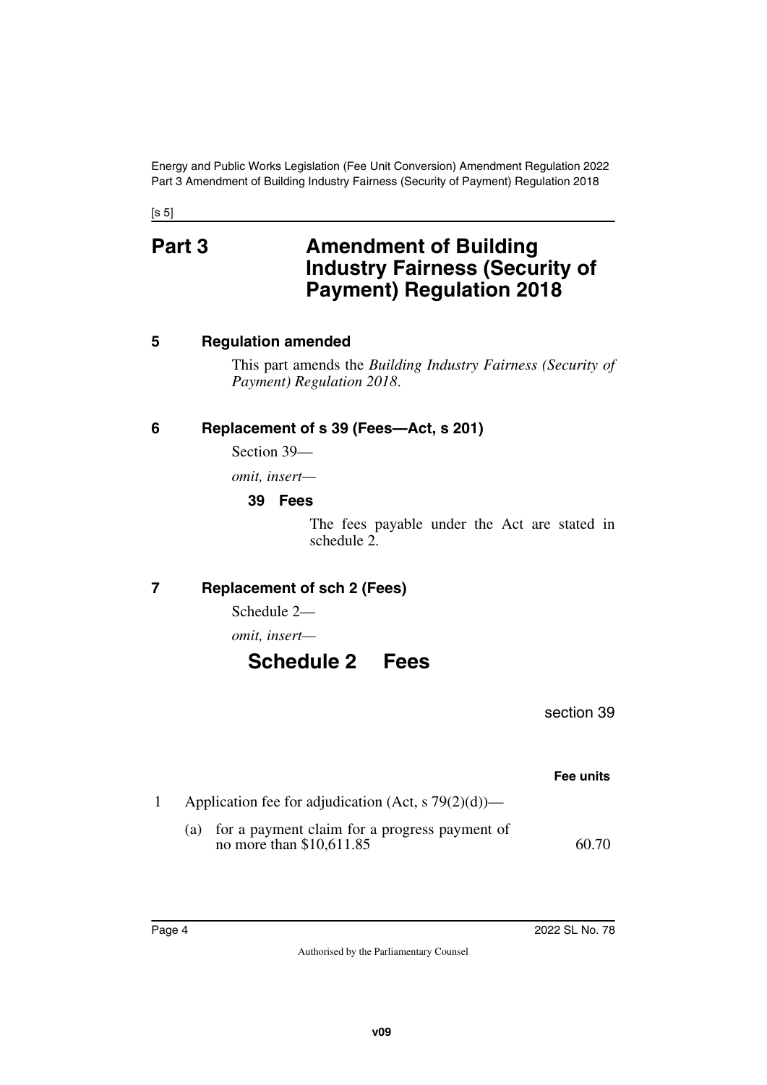Energy and Public Works Legislation (Fee Unit Conversion) Amendment Regulation 2022 Part 3 Amendment of Building Industry Fairness (Security of Payment) Regulation 2018

<span id="page-3-1"></span><span id="page-3-0"></span> $[s 5]$ 

## **Part 3** Amendment of Building **Industry Fairness (Security of Payment) Regulation 2018**

### <span id="page-3-2"></span>**5 Regulation amended**

<span id="page-3-3"></span>This part amends the *Building Industry Fairness (Security of Payment) Regulation 2018*.

## <span id="page-3-4"></span>**6 Replacement of s 39 (Fees—Act, s 201)**

<span id="page-3-5"></span>Section 39—

*omit, insert—*

#### <span id="page-3-7"></span><span id="page-3-6"></span>**39 Fees**

The fees payable under the Act are stated in schedule 2.

## <span id="page-3-8"></span>**7 Replacement of sch 2 (Fees)**

<span id="page-3-9"></span>Schedule 2—

*omit, insert—*

## <span id="page-3-11"></span><span id="page-3-10"></span>**Schedule 2 Fees**

section 39

|                                                                               | Fee units |
|-------------------------------------------------------------------------------|-----------|
| Application fee for adjudication (Act, s $79(2)(d)$ )—                        |           |
| (a) for a payment claim for a progress payment of<br>no more than \$10,611.85 | 60.70     |
|                                                                               |           |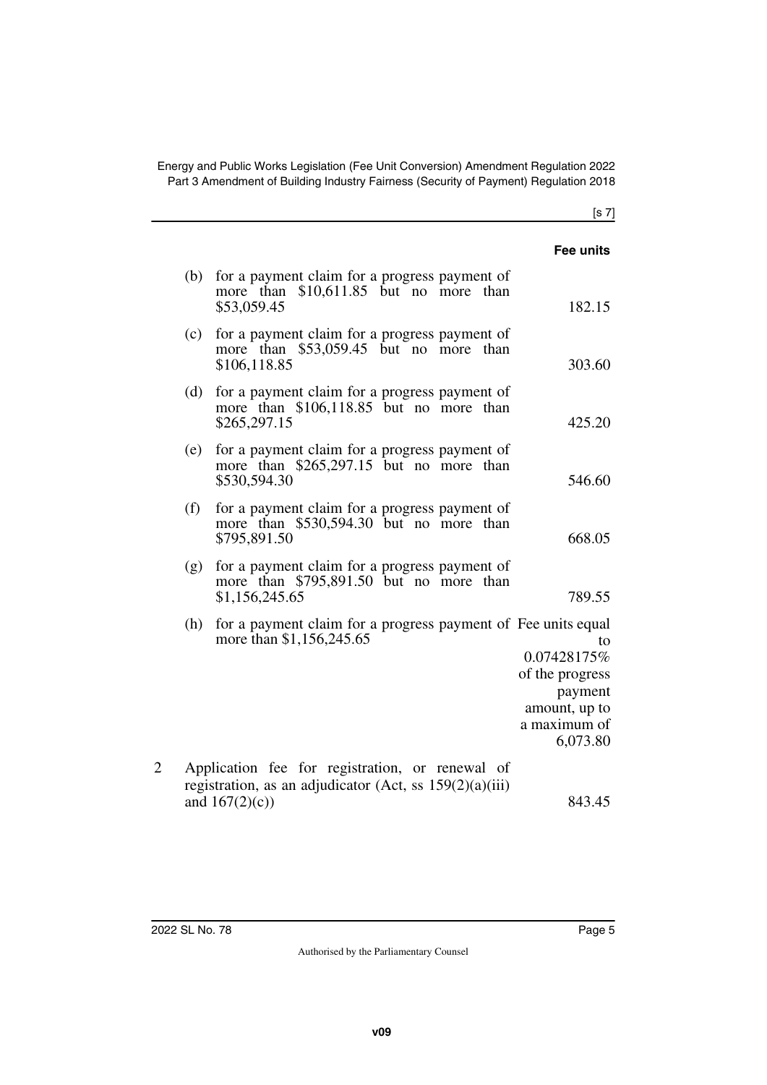Energy and Public Works Legislation (Fee Unit Conversion) Amendment Regulation 2022 Part 3 Amendment of Building Industry Fairness (Security of Payment) Regulation 2018

| Fee units                                                                                    |                                                                                                                                     |     |
|----------------------------------------------------------------------------------------------|-------------------------------------------------------------------------------------------------------------------------------------|-----|
| 182.15                                                                                       | for a payment claim for a progress payment of<br>more than \$10,611.85 but no more than<br>\$53,059.45                              | (b) |
| 303.60                                                                                       | for a payment claim for a progress payment of<br>more than \$53,059.45 but no more than<br>\$106,118.85                             | (c) |
| 425.20                                                                                       | for a payment claim for a progress payment of<br>more than \$106,118.85 but no more than<br>\$265,297.15                            | (d) |
| 546.60                                                                                       | for a payment claim for a progress payment of<br>more than \$265,297.15 but no more than<br>\$530,594.30                            | (e) |
| 668.05                                                                                       | for a payment claim for a progress payment of<br>more than \$530,594.30 but no more than<br>\$795,891.50                            | (f) |
| 789.55                                                                                       | for a payment claim for a progress payment of<br>more than \$795,891.50 but no more than<br>\$1,156,245.65                          | (g) |
| to<br>0.07428175%<br>of the progress<br>payment<br>amount, up to<br>a maximum of<br>6,073.80 | for a payment claim for a progress payment of Fee units equal<br>more than \$1,156,245.65                                           | (h) |
| 843.45                                                                                       | Application fee for registration, or renewal of<br>registration, as an adjudicator (Act, ss $159(2)(a)(iii)$ )<br>and $167(2)(c)$ ) | 2   |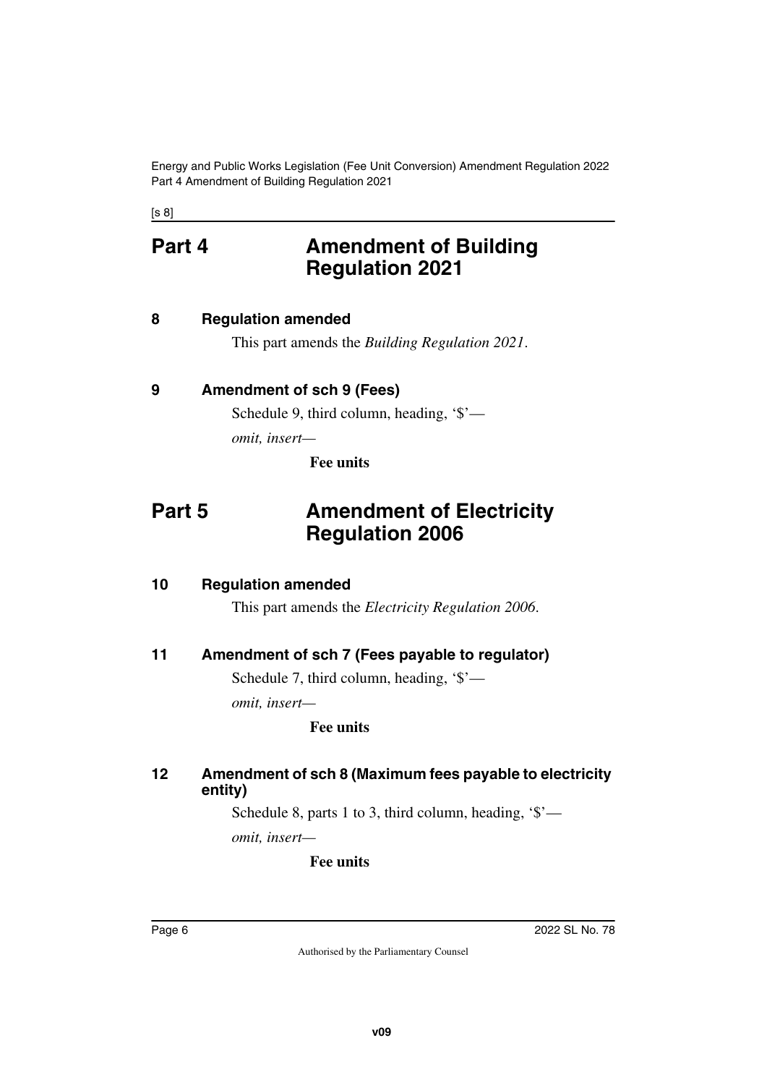Energy and Public Works Legislation (Fee Unit Conversion) Amendment Regulation 2022 Part 4 Amendment of Building Regulation 2021

<span id="page-5-0"></span>[s 8]

## **Part 4 Amendment of Building Regulation 2021**

### <span id="page-5-2"></span>**8 Regulation amended**

<span id="page-5-5"></span><span id="page-5-3"></span><span id="page-5-1"></span>This part amends the *Building Regulation 2021*.

## <span id="page-5-4"></span>**9 Amendment of sch 9 (Fees)**

Schedule 9, third column, heading, '\$' *omit, insert—*

<span id="page-5-7"></span>**Fee units**

## <span id="page-5-6"></span>**Part 5** Amendment of Electricity **Regulation 2006**

#### <span id="page-5-8"></span>**10 Regulation amended**

<span id="page-5-9"></span>This part amends the *Electricity Regulation 2006*.

### <span id="page-5-10"></span>**11 Amendment of sch 7 (Fees payable to regulator)**

<span id="page-5-11"></span>Schedule 7, third column, heading, '\$'—

*omit, insert—*

#### **Fee units**

#### <span id="page-5-13"></span><span id="page-5-12"></span>**12 Amendment of sch 8 (Maximum fees payable to electricity entity)**

Schedule 8, parts 1 to 3, third column, heading, '\$' *omit, insert—*

#### **Fee units**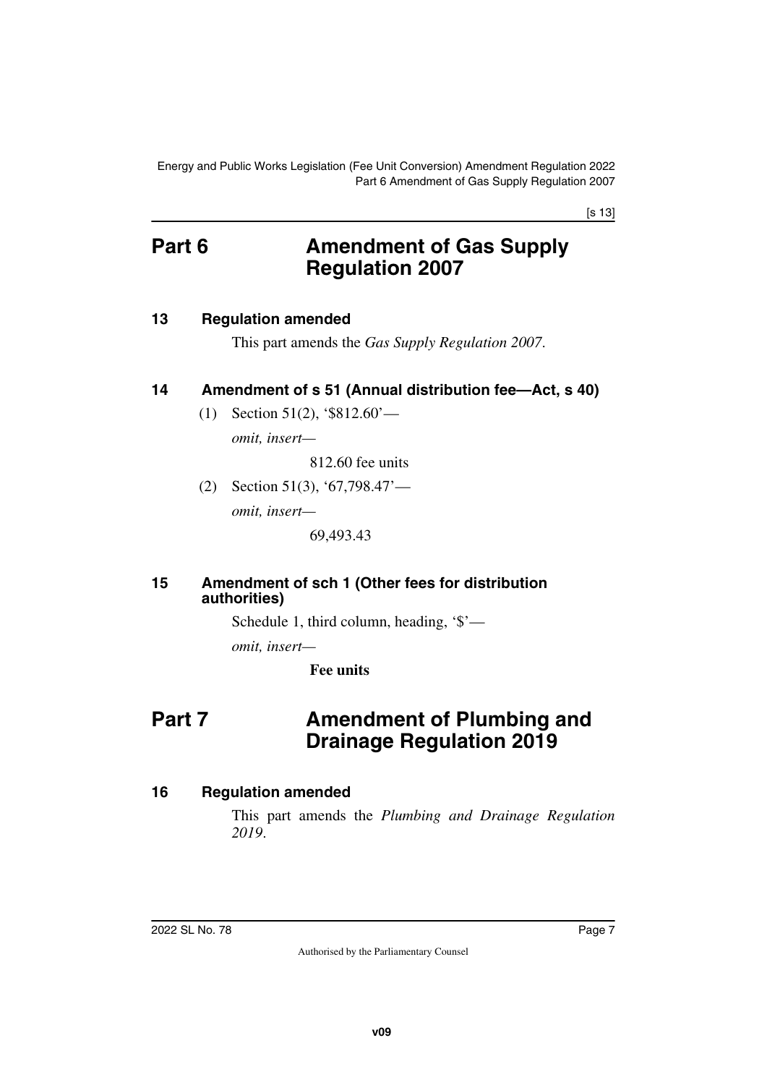Energy and Public Works Legislation (Fee Unit Conversion) Amendment Regulation 2022 Part 6 Amendment of Gas Supply Regulation 2007

[s 13]

## <span id="page-6-0"></span>**Part 6 Amendment of Gas Supply Regulation 2007**

#### <span id="page-6-2"></span>**13 Regulation amended**

<span id="page-6-3"></span><span id="page-6-1"></span>This part amends the *Gas Supply Regulation 2007*.

## <span id="page-6-4"></span>**14 Amendment of s 51 (Annual distribution fee—Act, s 40)**

<span id="page-6-5"></span>(1) Section 51(2), '\$812.60' *omit, insert—*

812.60 fee units

(2) Section 51(3), '67,798.47' *omit, insert—*

69,493.43

#### <span id="page-6-7"></span><span id="page-6-6"></span>**15 Amendment of sch 1 (Other fees for distribution authorities)**

Schedule 1, third column, heading, '\$'—

*omit, insert—*

<span id="page-6-9"></span>**Fee units**

## <span id="page-6-8"></span>**Part 7** Amendment of Plumbing and **Drainage Regulation 2019**

### <span id="page-6-10"></span>**16 Regulation amended**

<span id="page-6-11"></span>This part amends the *Plumbing and Drainage Regulation 2019*.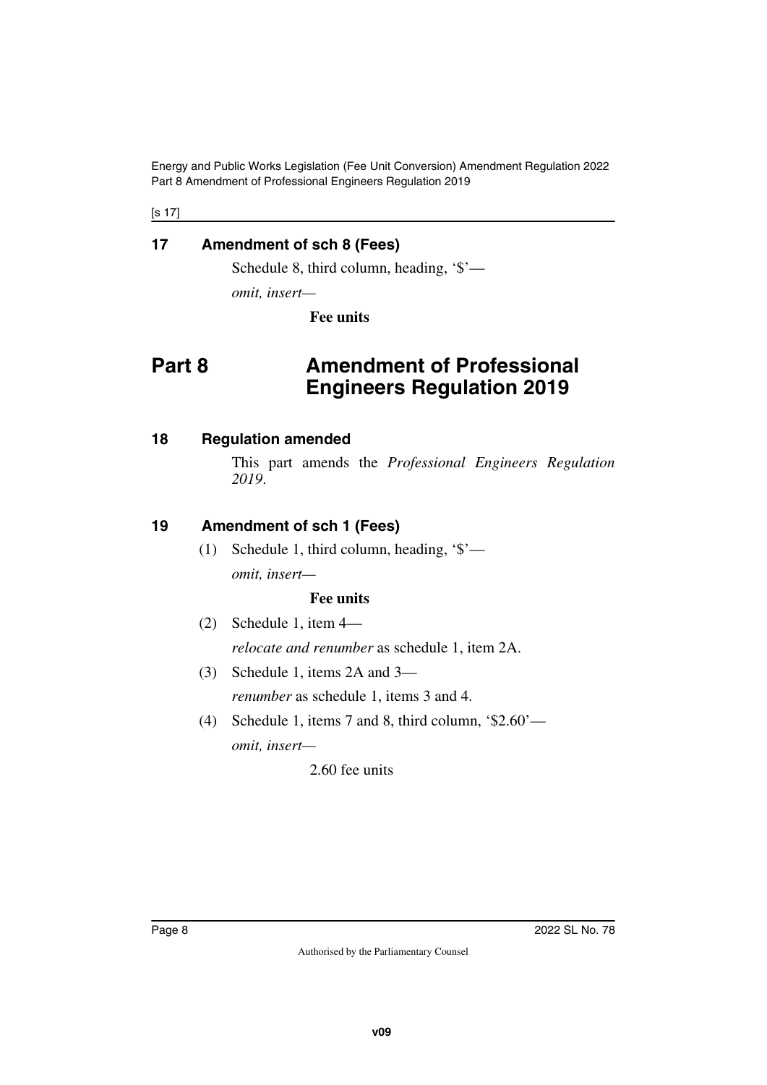Energy and Public Works Legislation (Fee Unit Conversion) Amendment Regulation 2022 Part 8 Amendment of Professional Engineers Regulation 2019

[s 17]

## <span id="page-7-0"></span>**17 Amendment of sch 8 (Fees)**

<span id="page-7-1"></span>Schedule 8, third column, heading, '\$'—

*omit, insert—*

<span id="page-7-3"></span>**Fee units**

## <span id="page-7-2"></span>**Part 8 Amendment of Professional Engineers Regulation 2019**

#### <span id="page-7-4"></span>**18 Regulation amended**

<span id="page-7-5"></span>This part amends the *Professional Engineers Regulation 2019*.

## <span id="page-7-6"></span>**19 Amendment of sch 1 (Fees)**

<span id="page-7-7"></span>(1) Schedule 1, third column, heading, '\$' *omit, insert—*

#### **Fee units**

- (2) Schedule 1, item 4 *relocate and renumber* as schedule 1, item 2A.
- (3) Schedule 1, items 2A and 3 *renumber* as schedule 1, items 3 and 4.
- (4) Schedule 1, items 7 and 8, third column, '\$2.60' *omit, insert—*

2.60 fee units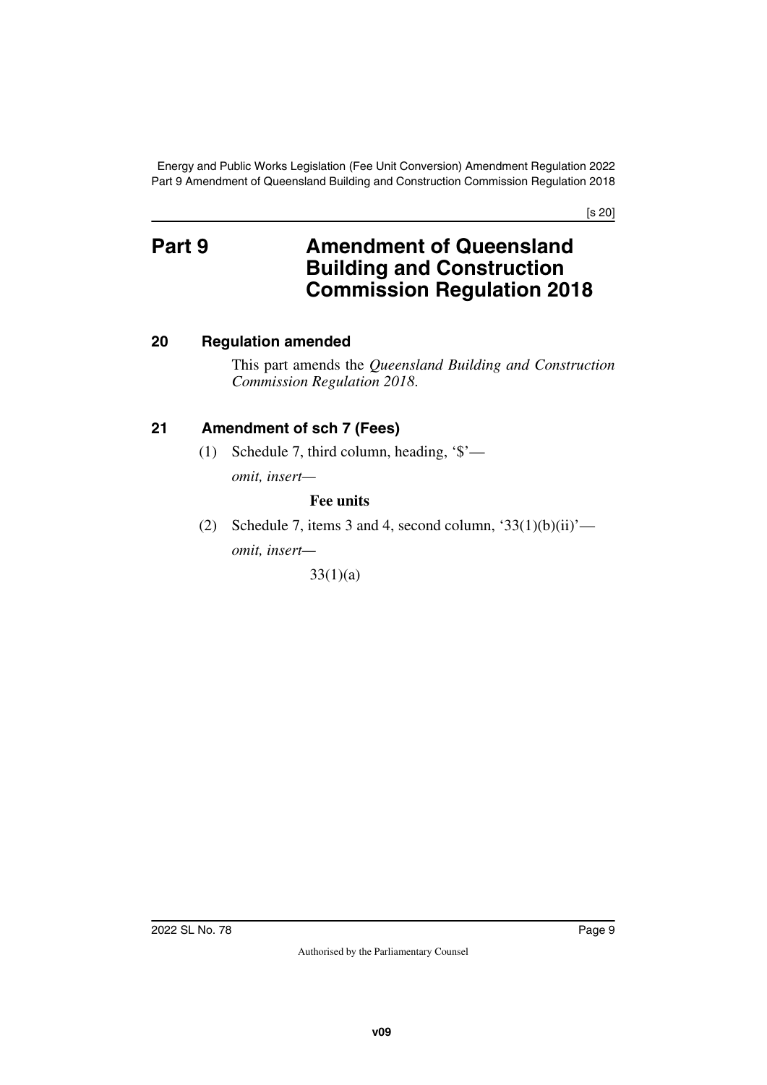Energy and Public Works Legislation (Fee Unit Conversion) Amendment Regulation 2022 Part 9 Amendment of Queensland Building and Construction Commission Regulation 2018

[s 20]

## <span id="page-8-1"></span><span id="page-8-0"></span>**Part 9** Amendment of Queensland **Building and Construction Commission Regulation 2018**

## <span id="page-8-2"></span>**20 Regulation amended**

<span id="page-8-3"></span>This part amends the *Queensland Building and Construction Commission Regulation 2018*.

## <span id="page-8-4"></span>**21 Amendment of sch 7 (Fees)**

<span id="page-8-5"></span>(1) Schedule 7, third column, heading, '\$' *omit, insert—*

#### **Fee units**

(2) Schedule 7, items 3 and 4, second column, ' $33(1)(b)(ii)'$  *omit, insert—*

33(1)(a)